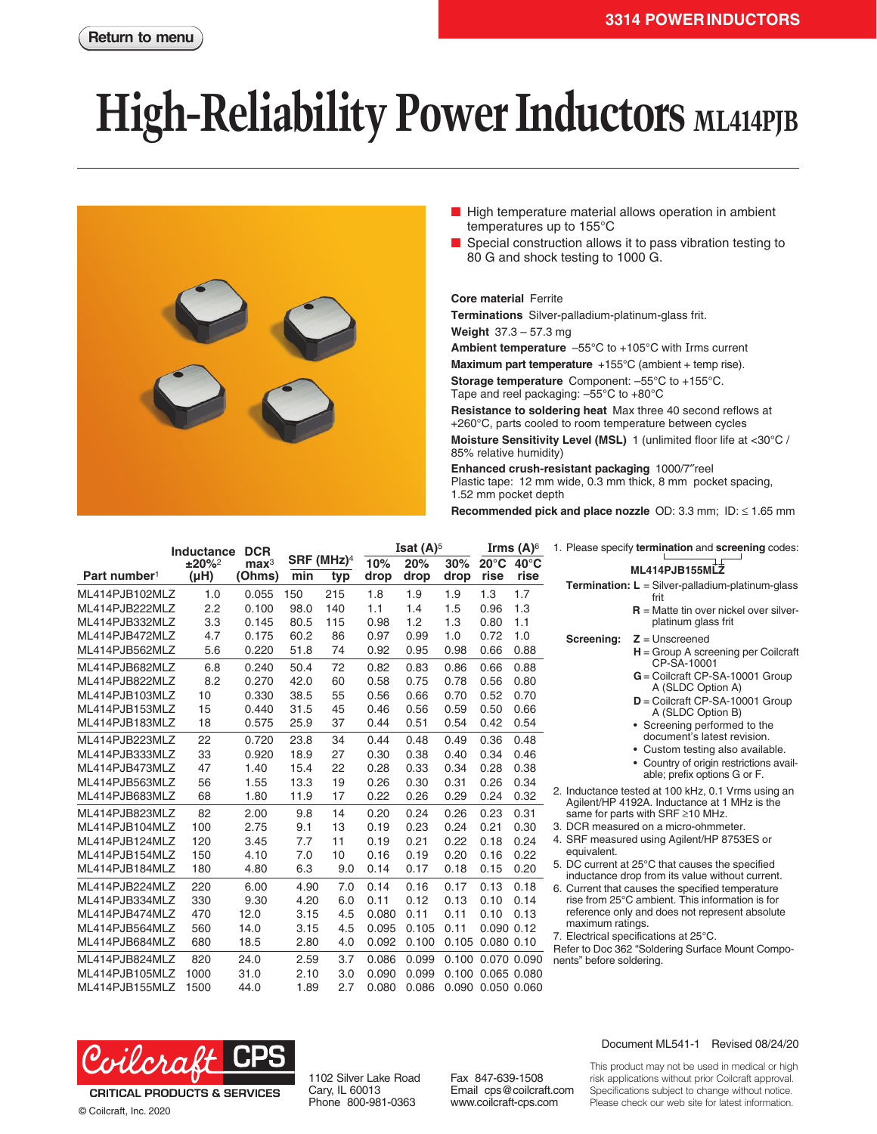## **High-Reliability Power Inductors ML414PJB**



- High temperature material allows operation in ambient temperatures up to 155°C
- Special construction allows it to pass vibration testing to 80 G and shock testing to 1000 G.

## **Core material** Ferrite

**Terminations** Silver-palladium-platinum-glass frit.

**Weight** 37.3 – 57.3 mg

**Ambient temperature** –55°C to +105°C with Irms current

**Maximum part temperature** +155°C (ambient + temp rise).

**Storage temperature** Component: –55°C to +155°C. Tape and reel packaging: –55°C to +80°C

**Resistance to soldering heat** Max three 40 second reflows at +260°C, parts cooled to room temperature between cycles **Moisture Sensitivity Level (MSL)** 1 (unlimited floor life at <30°C / 85% relative humidity)

**Enhanced crush-resistant packaging** 1000/7″reel Plastic tape: 12 mm wide, 0.3 mm thick, 8 mm pocket spacing, 1.52 mm pocket depth

**Recommended pick and place nozzle** OD: 3.3 mm; ID: ≤ 1.65 mm

|                          | <b>Inductance</b>     | <b>DCR</b>                 |                               |     | Isat $(A)^5$ |             | Irms $(A)$ <sup>6</sup> |                        | 1. Please specify termination and screening codes: |                                                                                                     |
|--------------------------|-----------------------|----------------------------|-------------------------------|-----|--------------|-------------|-------------------------|------------------------|----------------------------------------------------|-----------------------------------------------------------------------------------------------------|
| Part number <sup>1</sup> | $±20\%2$<br>$(\mu H)$ | $\mathbf{max}^3$<br>(Ohms) | SRF (MHz) <sup>4</sup><br>min | typ | 10%<br>drop  | 20%<br>drop | 30%<br>drop             | $20^{\circ}$ C<br>rise | $40^{\circ}$ C<br>rise                             | ML414PJB155MLZ                                                                                      |
| ML414PJB102MLZ           | 1.0                   | 0.055                      | 150                           | 215 | 1.8          | 1.9         | 1.9                     | 1.3                    | 1.7                                                | <b>Termination:</b> $L =$ Silver-palladium-platinum-glass<br>frit                                   |
| ML414PJB222MLZ           | 2.2                   | 0.100                      | 98.0                          | 140 | 1.1          | 1.4         | 1.5                     | 0.96                   | 1.3                                                | $R$ = Matte tin over nickel over silver-                                                            |
| ML414PJB332MLZ           | 3.3                   | 0.145                      | 80.5                          | 115 | 0.98         | 1.2         | 1.3                     | 0.80                   | 1.1                                                | platinum glass frit                                                                                 |
| ML414PJB472MLZ           | 4.7                   | 0.175                      | 60.2                          | 86  | 0.97         | 0.99        | 1.0                     | 0.72                   | 1.0                                                | $Z =$ Unscreened<br>Screening:                                                                      |
| ML414PJB562MLZ           | 5.6                   | 0.220                      | 51.8                          | 74  | 0.92         | 0.95        | 0.98                    | 0.66                   | 0.88                                               | $H =$ Group A screening per Coilcraft                                                               |
| ML414PJB682MLZ           | 6.8                   | 0.240                      | 50.4                          | 72  | 0.82         | 0.83        | 0.86                    | 0.66                   | 0.88                                               | CP-SA-10001                                                                                         |
| ML414PJB822MLZ           | 8.2                   | 0.270                      | 42.0                          | 60  | 0.58         | 0.75        | 0.78                    | 0.56                   | 0.80                                               | $G =$ Coilcraft CP-SA-10001 Group                                                                   |
| ML414PJB103MLZ           | 10                    | 0.330                      | 38.5                          | 55  | 0.56         | 0.66        | 0.70                    | 0.52                   | 0.70                                               | A (SLDC Option A)                                                                                   |
| ML414PJB153MLZ           | 15                    | 0.440                      | 31.5                          | 45  | 0.46         | 0.56        | 0.59                    | 0.50                   | 0.66                                               | $D =$ Coilcraft CP-SA-10001 Group<br>A (SLDC Option B)                                              |
| ML414PJB183MLZ           | 18                    | 0.575                      | 25.9                          | 37  | 0.44         | 0.51        | 0.54                    | 0.42                   | 0.54                                               | • Screening performed to the                                                                        |
| ML414PJB223MLZ           | 22                    | 0.720                      | 23.8                          | 34  | 0.44         | 0.48        | 0.49                    | 0.36                   | 0.48                                               | document's latest revision.                                                                         |
| ML414PJB333MLZ           | 33                    | 0.920                      | 18.9                          | 27  | 0.30         | 0.38        | 0.40                    | 0.34                   | 0.46                                               | Custom testing also available.                                                                      |
| ML414PJB473MLZ           | 47                    | 1.40                       | 15.4                          | 22  | 0.28         | 0.33        | 0.34                    | 0.28                   | 0.38                                               | • Country of origin restrictions avail-                                                             |
| ML414PJB563MLZ           | 56                    | 1.55                       | 13.3                          | 19  | 0.26         | 0.30        | 0.31                    | 0.26                   | 0.34                                               | able; prefix options G or F.                                                                        |
| ML414PJB683MLZ           | 68                    | 1.80                       | 11.9                          | 17  | 0.22         | 0.26        | 0.29                    | 0.24                   | 0.32                                               | 2. Inductance tested at 100 kHz, 0.1 Vrms using an                                                  |
| ML414PJB823MLZ           | 82                    | 2.00                       | 9.8                           | 14  | 0.20         | 0.24        | 0.26                    | 0.23                   | 0.31                                               | Agilent/HP 4192A. Inductance at 1 MHz is the<br>same for parts with SRF ≥10 MHz.                    |
| ML414PJB104MLZ           | 100                   | 2.75                       | 9.1                           | 13  | 0.19         | 0.23        | 0.24                    | 0.21                   | 0.30                                               | 3. DCR measured on a micro-ohmmeter.                                                                |
| ML414PJB124MLZ           | 120                   | 3.45                       | 7.7                           | 11  | 0.19         | 0.21        | 0.22                    | 0.18                   | 0.24                                               | 4. SRF measured using Agilent/HP 8753ES or                                                          |
| ML414PJB154MLZ           | 150                   | 4.10                       | 7.0                           | 10  | 0.16         | 0.19        | 0.20                    | 0.16                   | 0.22                                               | equivalent.                                                                                         |
| ML414PJB184MLZ           | 180                   | 4.80                       | 6.3                           | 9.0 | 0.14         | 0.17        | 0.18                    | 0.15                   | 0.20                                               | 5. DC current at 25°C that causes the specified                                                     |
| ML414PJB224MLZ           | 220                   | 6.00                       | 4.90                          | 7.0 | 0.14         | 0.16        | 0.17                    | 0.13                   | 0.18                                               | inductance drop from its value without current.<br>6. Current that causes the specified temperature |
| ML414PJB334MLZ           | 330                   | 9.30                       | 4.20                          | 6.0 | 0.11         | 0.12        | 0.13                    | 0.10                   | 0.14                                               | rise from 25°C ambient. This information is for                                                     |
| ML414PJB474MLZ           | 470                   | 12.0                       | 3.15                          | 4.5 | 0.080        | 0.11        | 0.11                    | 0.10                   | 0.13                                               | reference only and does not represent absolute                                                      |
| ML414PJB564MLZ           | 560                   | 14.0                       | 3.15                          | 4.5 | 0.095        | 0.105       | 0.11                    | 0.090 0.12             |                                                    | maximum ratings.                                                                                    |
| ML414PJB684MLZ           | 680                   | 18.5                       | 2.80                          | 4.0 | 0.092        | 0.100       |                         | 0.105 0.080 0.10       |                                                    | 7. Electrical specifications at 25°C.                                                               |
| ML414PJB824MLZ           | 820                   | 24.0                       | 2.59                          | 3.7 | 0.086        | 0.099       |                         | 0.100 0.070 0.090      |                                                    | Refer to Doc 362 "Soldering Surface Mount Compo-<br>nents" before soldering.                        |
| ML414PJB105MLZ           | 1000                  | 31.0                       | 2.10                          | 3.0 | 0.090        | 0.099       |                         | 0.100 0.065 0.080      |                                                    |                                                                                                     |
| ML414PJB155MLZ           | 1500                  | 44.0                       | 1.89                          | 2.7 | 0.080        | 0.086       |                         | 0.090 0.050 0.060      |                                                    |                                                                                                     |



**CRITICAL PRODUCTS & SERVICES** © Coilcraft, Inc. 2020

1102 Silver Lake Road Cary, IL 60013 Phone 800-981-0363

Fax 847-639-1508 Email cps@coilcraft.com www.coilcraft-cps.com

## Document ML541-1 Revised 08/24/20

This product may not be used in medical or high risk applications without prior Coilcraft approval. Specifications subject to change without notice. Please check our web site for latest information.